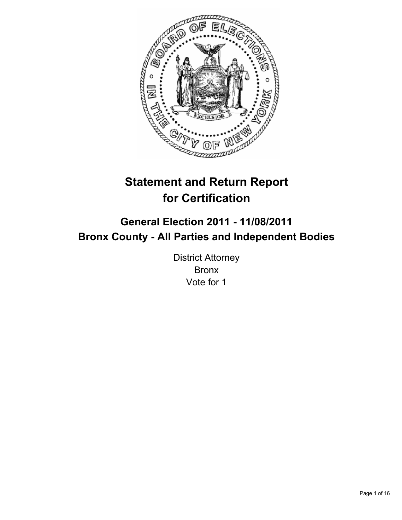

# **Statement and Return Report for Certification**

## **General Election 2011 - 11/08/2011 Bronx County - All Parties and Independent Bodies**

District Attorney Bronx Vote for 1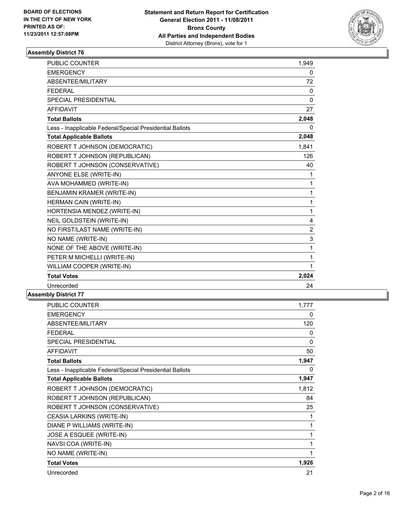

| PUBLIC COUNTER                                           | 1,949          |
|----------------------------------------------------------|----------------|
| <b>EMERGENCY</b>                                         | 0              |
| ABSENTEE/MILITARY                                        | 72             |
| <b>FEDERAL</b>                                           | 0              |
| <b>SPECIAL PRESIDENTIAL</b>                              | $\mathbf{0}$   |
| <b>AFFIDAVIT</b>                                         | 27             |
| <b>Total Ballots</b>                                     | 2,048          |
| Less - Inapplicable Federal/Special Presidential Ballots | 0              |
| <b>Total Applicable Ballots</b>                          | 2,048          |
| ROBERT T JOHNSON (DEMOCRATIC)                            | 1.841          |
| ROBERT T JOHNSON (REPUBLICAN)                            | 126            |
| ROBERT T JOHNSON (CONSERVATIVE)                          | 40             |
| ANYONE ELSE (WRITE-IN)                                   | 1              |
| AVA MOHAMMED (WRITE-IN)                                  | $\mathbf{1}$   |
| BENJAMIN KRAMER (WRITE-IN)                               | 1              |
| HERMAN CAIN (WRITE-IN)                                   | 1              |
| HORTENSIA MENDEZ (WRITE-IN)                              | 1              |
| <b>NEIL GOLDSTEIN (WRITE-IN)</b>                         | 4              |
| NO FIRST/LAST NAME (WRITE-IN)                            | $\overline{2}$ |
| NO NAME (WRITE-IN)                                       | 3              |
| NONE OF THE ABOVE (WRITE-IN)                             | 1              |
| PETER M MICHELLI (WRITE-IN)                              | 1              |
| WILLIAM COOPER (WRITE-IN)                                | 1              |
| <b>Total Votes</b>                                       | 2,024          |
| Unrecorded                                               | 24             |

| <b>PUBLIC COUNTER</b>                                    | 1,777 |
|----------------------------------------------------------|-------|
| <b>EMERGENCY</b>                                         | 0     |
| ABSENTEE/MILITARY                                        | 120   |
| <b>FEDERAL</b>                                           | 0     |
| SPECIAL PRESIDENTIAL                                     | 0     |
| <b>AFFIDAVIT</b>                                         | 50    |
| <b>Total Ballots</b>                                     | 1,947 |
| Less - Inapplicable Federal/Special Presidential Ballots | 0     |
| <b>Total Applicable Ballots</b>                          | 1,947 |
| ROBERT T JOHNSON (DEMOCRATIC)                            | 1,812 |
| ROBERT T JOHNSON (REPUBLICAN)                            | 84    |
| ROBERT T JOHNSON (CONSERVATIVE)                          | 25    |
| CEASIA LARKINS (WRITE-IN)                                | 1     |
| DIANE P WILLIAMS (WRITE-IN)                              | 1     |
| JOSE A ESQUEE (WRITE-IN)                                 | 1     |
| NAVSI COA (WRITE-IN)                                     | 1     |
| NO NAME (WRITE-IN)                                       | 1     |
| <b>Total Votes</b>                                       | 1,926 |
| Unrecorded                                               | 21    |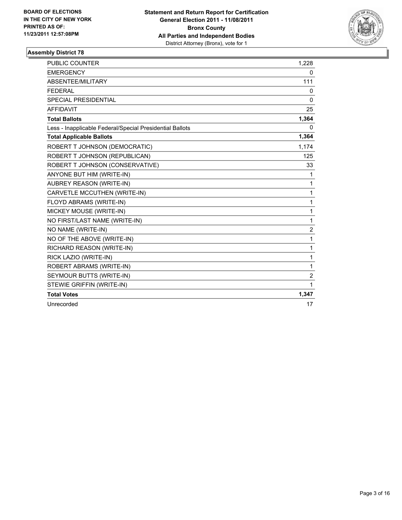

| <b>PUBLIC COUNTER</b>                                    | 1,228          |
|----------------------------------------------------------|----------------|
| <b>EMERGENCY</b>                                         | 0              |
| ABSENTEE/MILITARY                                        | 111            |
| <b>FEDERAL</b>                                           | 0              |
| <b>SPECIAL PRESIDENTIAL</b>                              | $\mathbf{0}$   |
| <b>AFFIDAVIT</b>                                         | 25             |
| <b>Total Ballots</b>                                     | 1,364          |
| Less - Inapplicable Federal/Special Presidential Ballots | 0              |
| <b>Total Applicable Ballots</b>                          | 1,364          |
| ROBERT T JOHNSON (DEMOCRATIC)                            | 1,174          |
| ROBERT T JOHNSON (REPUBLICAN)                            | 125            |
| ROBERT T JOHNSON (CONSERVATIVE)                          | 33             |
| ANYONE BUT HIM (WRITE-IN)                                | 1              |
| <b>AUBREY REASON (WRITE-IN)</b>                          | 1              |
| CARVETLE MCCUTHEN (WRITE-IN)                             | 1              |
| FLOYD ABRAMS (WRITE-IN)                                  | 1              |
| MICKEY MOUSE (WRITE-IN)                                  | 1              |
| NO FIRST/LAST NAME (WRITE-IN)                            | 1              |
| NO NAME (WRITE-IN)                                       | $\overline{2}$ |
| NO OF THE ABOVE (WRITE-IN)                               | 1              |
| RICHARD REASON (WRITE-IN)                                | 1              |
| RICK LAZIO (WRITE-IN)                                    | 1              |
| ROBERT ABRAMS (WRITE-IN)                                 | 1              |
| SEYMOUR BUTTS (WRITE-IN)                                 | 2              |
| STEWIE GRIFFIN (WRITE-IN)                                | 1              |
| <b>Total Votes</b>                                       | 1,347          |
| Unrecorded                                               | 17             |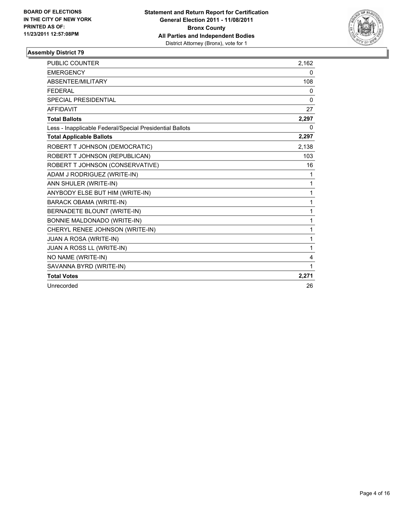

| <b>PUBLIC COUNTER</b>                                    | 2,162        |
|----------------------------------------------------------|--------------|
| <b>EMERGENCY</b>                                         | 0            |
| ABSENTEE/MILITARY                                        | 108          |
| <b>FFDFRAI</b>                                           | 0            |
| <b>SPECIAL PRESIDENTIAL</b>                              | 0            |
| <b>AFFIDAVIT</b>                                         | 27           |
| <b>Total Ballots</b>                                     | 2,297        |
| Less - Inapplicable Federal/Special Presidential Ballots | 0            |
| <b>Total Applicable Ballots</b>                          | 2,297        |
| ROBERT T JOHNSON (DEMOCRATIC)                            | 2,138        |
| ROBERT T JOHNSON (REPUBLICAN)                            | 103          |
| ROBERT T JOHNSON (CONSERVATIVE)                          | 16           |
| ADAM J RODRIGUEZ (WRITE-IN)                              | 1            |
| ANN SHULER (WRITE-IN)                                    | 1            |
| ANYBODY ELSE BUT HIM (WRITE-IN)                          | $\mathbf{1}$ |
| <b>BARACK OBAMA (WRITE-IN)</b>                           | 1            |
| BERNADETE BLOUNT (WRITE-IN)                              | $\mathbf{1}$ |
| BONNIE MALDONADO (WRITE-IN)                              | 1            |
| CHERYL RENEE JOHNSON (WRITE-IN)                          | $\mathbf{1}$ |
| JUAN A ROSA (WRITE-IN)                                   | 1            |
| JUAN A ROSS LL (WRITE-IN)                                | 1            |
| NO NAME (WRITE-IN)                                       | 4            |
| SAVANNA BYRD (WRITE-IN)                                  | 1            |
| <b>Total Votes</b>                                       | 2,271        |
| Unrecorded                                               | 26           |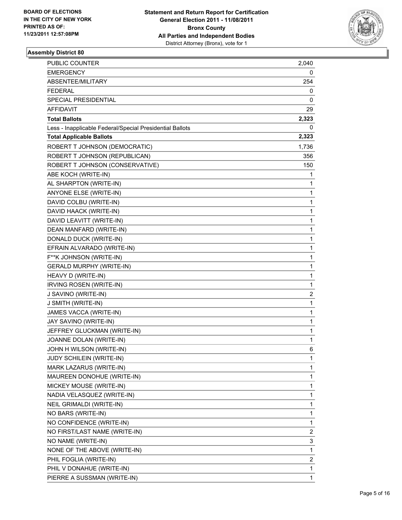

| PUBLIC COUNTER                                           | 2,040 |
|----------------------------------------------------------|-------|
| <b>EMERGENCY</b>                                         | 0     |
| ABSENTEE/MILITARY                                        | 254   |
| <b>FEDERAL</b>                                           | 0     |
| <b>SPECIAL PRESIDENTIAL</b>                              | 0     |
| AFFIDAVIT                                                | 29    |
| <b>Total Ballots</b>                                     | 2,323 |
| Less - Inapplicable Federal/Special Presidential Ballots | 0     |
| <b>Total Applicable Ballots</b>                          | 2,323 |
| ROBERT T JOHNSON (DEMOCRATIC)                            | 1,736 |
| ROBERT T JOHNSON (REPUBLICAN)                            | 356   |
| ROBERT T JOHNSON (CONSERVATIVE)                          | 150   |
| ABE KOCH (WRITE-IN)                                      | 1     |
| AL SHARPTON (WRITE-IN)                                   | 1     |
| ANYONE ELSE (WRITE-IN)                                   | 1     |
| DAVID COLBU (WRITE-IN)                                   | 1     |
| DAVID HAACK (WRITE-IN)                                   | 1     |
| DAVID LEAVITT (WRITE-IN)                                 | 1     |
| DEAN MANFARD (WRITE-IN)                                  | 1     |
| DONALD DUCK (WRITE-IN)                                   | 1     |
| EFRAIN ALVARADO (WRITE-IN)                               | 1     |
| F**K JOHNSON (WRITE-IN)                                  | 1     |
| <b>GERALD MURPHY (WRITE-IN)</b>                          | 1     |
| HEAVY D (WRITE-IN)                                       | 1     |
| IRVING ROSEN (WRITE-IN)                                  | 1     |
| J SAVINO (WRITE-IN)                                      | 2     |
| J SMITH (WRITE-IN)                                       | 1     |
| JAMES VACCA (WRITE-IN)                                   | 1     |
| JAY SAVINO (WRITE-IN)                                    | 1     |
| JEFFREY GLUCKMAN (WRITE-IN)                              | 1     |
| JOANNE DOLAN (WRITE-IN)                                  | 1     |
| JOHN H WILSON (WRITE-IN)                                 | 6     |
| JUDY SCHILEIN (WRITE-IN)                                 | 1     |
| MARK LAZARUS (WRITE-IN)                                  | 1     |
| MAUREEN DONOHUE (WRITE-IN)                               | 1     |
| MICKEY MOUSE (WRITE-IN)                                  | 1     |
| NADIA VELASQUEZ (WRITE-IN)                               | 1     |
| NEIL GRIMALDI (WRITE-IN)                                 | 1     |
| NO BARS (WRITE-IN)                                       | 1     |
| NO CONFIDENCE (WRITE-IN)                                 | 1     |
| NO FIRST/LAST NAME (WRITE-IN)                            | 2     |
| NO NAME (WRITE-IN)                                       | 3     |
| NONE OF THE ABOVE (WRITE-IN)                             | 1     |
| PHIL FOGLIA (WRITE-IN)                                   | 2     |
| PHIL V DONAHUE (WRITE-IN)                                | 1     |
| PIERRE A SUSSMAN (WRITE-IN)                              | 1     |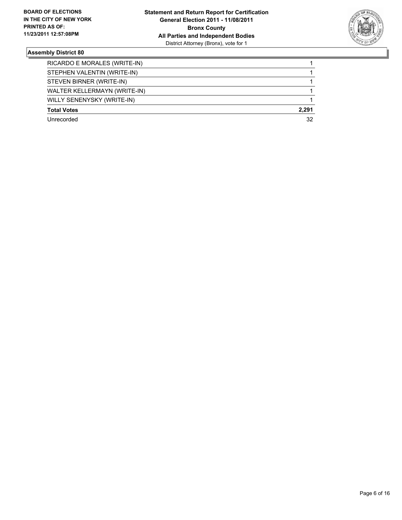

| RICARDO E MORALES (WRITE-IN) |       |
|------------------------------|-------|
| STEPHEN VALENTIN (WRITE-IN)  |       |
| STEVEN BIRNER (WRITE-IN)     |       |
| WALTER KELLERMAYN (WRITE-IN) |       |
| WILLY SENENYSKY (WRITE-IN)   |       |
| <b>Total Votes</b>           | 2.291 |
| Unrecorded                   | 32    |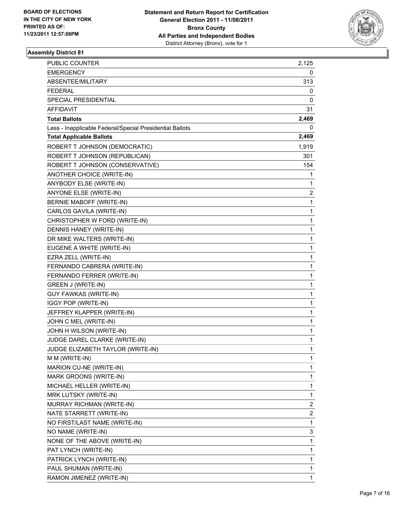

| PUBLIC COUNTER                                           | 2,125 |
|----------------------------------------------------------|-------|
| EMERGENCY                                                | 0     |
| ABSENTEE/MILITARY                                        | 313   |
| FEDERAL                                                  | 0     |
| <b>SPECIAL PRESIDENTIAL</b>                              | 0     |
| AFFIDAVIT                                                | 31    |
| <b>Total Ballots</b>                                     | 2,469 |
| Less - Inapplicable Federal/Special Presidential Ballots | 0     |
| <b>Total Applicable Ballots</b>                          | 2,469 |
| ROBERT T JOHNSON (DEMOCRATIC)                            | 1,919 |
| ROBERT T JOHNSON (REPUBLICAN)                            | 301   |
| ROBERT T JOHNSON (CONSERVATIVE)                          | 154   |
| ANOTHER CHOICE (WRITE-IN)                                | 1     |
| ANYBODY ELSE (WRITE-IN)                                  | 1     |
| ANYONE ELSE (WRITE-IN)                                   | 2     |
| <b>BERNIE MABOFF (WRITE-IN)</b>                          | 1     |
| CARLOS GAVILA (WRITE-IN)                                 | 1     |
| CHRISTOPHER W FORD (WRITE-IN)                            | 1     |
| DENNIS HANEY (WRITE-IN)                                  | 1     |
| DR MIKE WALTERS (WRITE-IN)                               | 1     |
| EUGENE A WHITE (WRITE-IN)                                | 1     |
| EZRA ZELL (WRITE-IN)                                     | 1     |
| FERNANDO CABRERA (WRITE-IN)                              | 1     |
| FERNANDO FERRER (WRITE-IN)                               | 1     |
| GREEN J (WRITE-IN)                                       | 1     |
| GUY FAWKAS (WRITE-IN)                                    | 1     |
| IGGY POP (WRITE-IN)                                      | 1     |
| JEFFREY KLAPPER (WRITE-IN)                               | 1     |
| JOHN C MEL (WRITE-IN)                                    | 1     |
| JOHN H WILSON (WRITE-IN)                                 | 1     |
| JUDGE DAREL CLARKE (WRITE-IN)                            | 1     |
| JUDGE ELIZABETH TAYLOR (WRITE-IN)                        | 1     |
| M M (WRITE-IN)                                           | 1     |
| MARION CU-NE (WRITE-IN)                                  | 1     |
| MARK GROONS (WRITE-IN)                                   | 1     |
| MICHAEL HELLER (WRITE-IN)                                | 1     |
| MRK LUTSKY (WRITE-IN)                                    | 1     |
| MURRAY RICHMAN (WRITE-IN)                                | 2     |
| NATE STARRETT (WRITE-IN)                                 | 2     |
| NO FIRST/LAST NAME (WRITE-IN)                            | 1     |
| NO NAME (WRITE-IN)                                       | 3     |
| NONE OF THE ABOVE (WRITE-IN)                             | 1     |
| PAT LYNCH (WRITE-IN)                                     | 1     |
| PATRICK LYNCH (WRITE-IN)                                 | 1     |
| PAUL SHUMAN (WRITE-IN)                                   | 1     |
| RAMON JIMENEZ (WRITE-IN)                                 | 1     |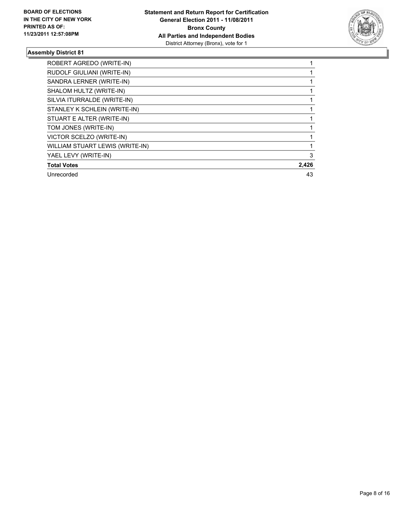

| ROBERT AGREDO (WRITE-IN)        |       |
|---------------------------------|-------|
| RUDOLF GIULIANI (WRITE-IN)      |       |
| SANDRA LERNER (WRITE-IN)        |       |
| SHALOM HULTZ (WRITE-IN)         |       |
| SILVIA ITURRALDE (WRITE-IN)     |       |
| STANLEY K SCHLEIN (WRITE-IN)    |       |
| STUART E ALTER (WRITE-IN)       |       |
| TOM JONES (WRITE-IN)            |       |
| VICTOR SCELZO (WRITE-IN)        |       |
| WILLIAM STUART LEWIS (WRITE-IN) |       |
| YAEL LEVY (WRITE-IN)            | 3     |
| <b>Total Votes</b>              | 2,426 |
| Unrecorded                      | 43    |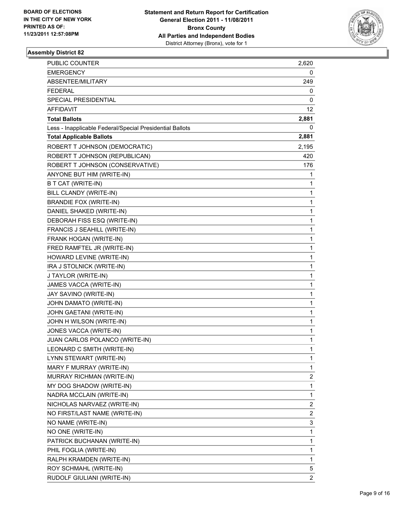

| <b>PUBLIC COUNTER</b>                                    | 2,620          |
|----------------------------------------------------------|----------------|
| <b>EMERGENCY</b>                                         | 0              |
| ABSENTEE/MILITARY                                        | 249            |
| <b>FEDERAL</b>                                           | 0              |
| SPECIAL PRESIDENTIAL                                     | 0              |
| AFFIDAVIT                                                | 12             |
| <b>Total Ballots</b>                                     | 2,881          |
| Less - Inapplicable Federal/Special Presidential Ballots | 0              |
| <b>Total Applicable Ballots</b>                          | 2,881          |
| ROBERT T JOHNSON (DEMOCRATIC)                            | 2,195          |
| ROBERT T JOHNSON (REPUBLICAN)                            | 420            |
| ROBERT T JOHNSON (CONSERVATIVE)                          | 176            |
| ANYONE BUT HIM (WRITE-IN)                                | 1              |
| B T CAT (WRITE-IN)                                       | 1              |
| BILL CLANDY (WRITE-IN)                                   | 1              |
| <b>BRANDIE FOX (WRITE-IN)</b>                            | 1              |
| DANIEL SHAKED (WRITE-IN)                                 | 1              |
| DEBORAH FISS ESQ (WRITE-IN)                              | 1              |
| FRANCIS J SEAHILL (WRITE-IN)                             | 1              |
| FRANK HOGAN (WRITE-IN)                                   | 1              |
| FRED RAMFTEL JR (WRITE-IN)                               | 1              |
| HOWARD LEVINE (WRITE-IN)                                 | 1              |
| IRA J STOLNICK (WRITE-IN)                                | 1              |
| J TAYLOR (WRITE-IN)                                      | 1              |
| JAMES VACCA (WRITE-IN)                                   | 1              |
| JAY SAVINO (WRITE-IN)                                    | 1              |
| JOHN DAMATO (WRITE-IN)                                   | 1              |
| JOHN GAETANI (WRITE-IN)                                  | 1              |
| JOHN H WILSON (WRITE-IN)                                 | 1              |
| JONES VACCA (WRITE-IN)                                   | 1              |
| JUAN CARLOS POLANCO (WRITE-IN)                           | 1              |
| LEONARD C SMITH (WRITE-IN)                               | 1              |
| LYNN STEWART (WRITE-IN)                                  | 1              |
| MARY F MURRAY (WRITE-IN)                                 | 1              |
| MURRAY RICHMAN (WRITE-IN)                                | 2              |
| MY DOG SHADOW (WRITE-IN)                                 | 1              |
| NADRA MCCLAIN (WRITE-IN)                                 | 1              |
| NICHOLAS NARVAEZ (WRITE-IN)                              | 2              |
| NO FIRST/LAST NAME (WRITE-IN)                            | 2              |
| NO NAME (WRITE-IN)                                       | 3              |
| NO ONE (WRITE-IN)                                        | 1              |
| PATRICK BUCHANAN (WRITE-IN)                              | 1              |
| PHIL FOGLIA (WRITE-IN)                                   | 1              |
| RALPH KRAMDEN (WRITE-IN)                                 | 1              |
| ROY SCHMAHL (WRITE-IN)                                   | 5              |
| RUDOLF GIULIANI (WRITE-IN)                               | $\overline{2}$ |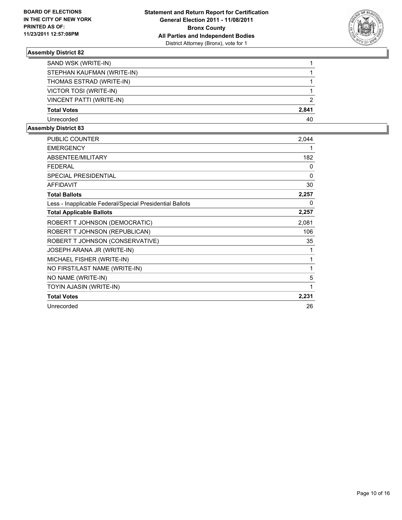

| SAND WSK (WRITE-IN)        |       |
|----------------------------|-------|
| STEPHAN KAUFMAN (WRITE-IN) |       |
| THOMAS ESTRAD (WRITE-IN)   |       |
| VICTOR TOSI (WRITE-IN)     |       |
| VINCENT PATTI (WRITE-IN)   | 2     |
| <b>Total Votes</b>         | 2,841 |
| Unrecorded                 | 40    |

| PUBLIC COUNTER                                           | 2,044 |
|----------------------------------------------------------|-------|
| <b>EMERGENCY</b>                                         | 1     |
| ABSENTEE/MILITARY                                        | 182   |
| <b>FEDERAL</b>                                           | 0     |
| <b>SPECIAL PRESIDENTIAL</b>                              | 0     |
| <b>AFFIDAVIT</b>                                         | 30    |
| <b>Total Ballots</b>                                     | 2,257 |
| Less - Inapplicable Federal/Special Presidential Ballots | 0     |
| <b>Total Applicable Ballots</b>                          | 2,257 |
| ROBERT T JOHNSON (DEMOCRATIC)                            | 2,081 |
| ROBERT T JOHNSON (REPUBLICAN)                            | 106   |
| ROBERT T JOHNSON (CONSERVATIVE)                          | 35    |
| JOSEPH ARANA JR (WRITE-IN)                               | 1     |
| MICHAEL FISHER (WRITE-IN)                                | 1     |
| NO FIRST/LAST NAME (WRITE-IN)                            | 1     |
| NO NAME (WRITE-IN)                                       | 5     |
| TOYIN AJASIN (WRITE-IN)                                  | 1     |
| <b>Total Votes</b>                                       | 2,231 |
| Unrecorded                                               | 26    |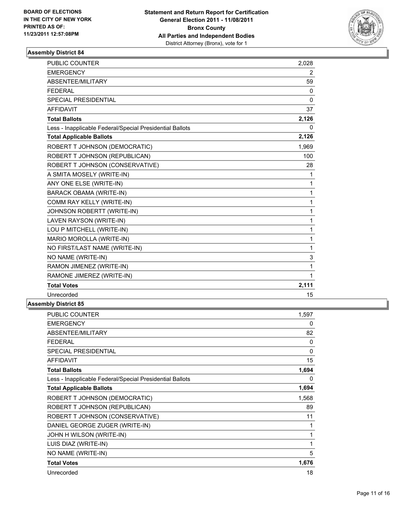

| <b>PUBLIC COUNTER</b>                                    | 2,028        |
|----------------------------------------------------------|--------------|
| <b>EMERGENCY</b>                                         | 2            |
| ABSENTEE/MILITARY                                        | 59           |
| <b>FEDERAL</b>                                           | $\mathbf{0}$ |
| <b>SPECIAL PRESIDENTIAL</b>                              | $\mathbf{0}$ |
| <b>AFFIDAVIT</b>                                         | 37           |
| <b>Total Ballots</b>                                     | 2,126        |
| Less - Inapplicable Federal/Special Presidential Ballots | 0            |
| <b>Total Applicable Ballots</b>                          | 2,126        |
| ROBERT T JOHNSON (DEMOCRATIC)                            | 1,969        |
| ROBERT T JOHNSON (REPUBLICAN)                            | 100          |
| ROBERT T JOHNSON (CONSERVATIVE)                          | 28           |
| A SMITA MOSELY (WRITE-IN)                                | 1            |
| ANY ONE ELSE (WRITE-IN)                                  | 1            |
| <b>BARACK OBAMA (WRITE-IN)</b>                           | 1            |
| COMM RAY KELLY (WRITE-IN)                                | 1            |
| JOHNSON ROBERTT (WRITE-IN)                               | 1            |
| LAVEN RAYSON (WRITE-IN)                                  | 1            |
| LOU P MITCHELL (WRITE-IN)                                | 1            |
| MARIO MOROLLA (WRITE-IN)                                 | 1            |
| NO FIRST/LAST NAME (WRITE-IN)                            | 1            |
| NO NAME (WRITE-IN)                                       | 3            |
| RAMON JIMENEZ (WRITE-IN)                                 | 1            |
| RAMONE JIMEREZ (WRITE-IN)                                | 1            |
| <b>Total Votes</b>                                       | 2,111        |
| Unrecorded                                               | 15           |
|                                                          |              |

| PUBLIC COUNTER                                           | 1,597        |
|----------------------------------------------------------|--------------|
| <b>EMERGENCY</b>                                         | 0            |
| ABSENTEE/MILITARY                                        | 82           |
| <b>FEDERAL</b>                                           | 0            |
| <b>SPECIAL PRESIDENTIAL</b>                              | $\mathbf{0}$ |
| <b>AFFIDAVIT</b>                                         | 15           |
| <b>Total Ballots</b>                                     | 1,694        |
| Less - Inapplicable Federal/Special Presidential Ballots | 0            |
| <b>Total Applicable Ballots</b>                          | 1,694        |
| ROBERT T JOHNSON (DEMOCRATIC)                            | 1,568        |
| ROBERT T JOHNSON (REPUBLICAN)                            | 89           |
| ROBERT T JOHNSON (CONSERVATIVE)                          | 11           |
| DANIEL GEORGE ZUGER (WRITE-IN)                           | 1            |
| JOHN H WILSON (WRITE-IN)                                 | 1            |
| LUIS DIAZ (WRITE-IN)                                     | 1            |
| NO NAME (WRITE-IN)                                       | 5            |
| <b>Total Votes</b>                                       | 1,676        |
| Unrecorded                                               | 18           |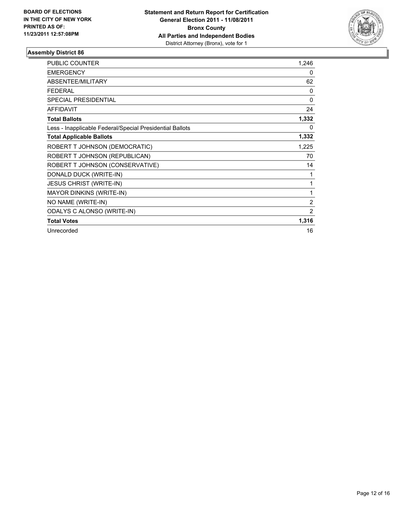

| PUBLIC COUNTER                                           | 1,246          |
|----------------------------------------------------------|----------------|
| <b>EMERGENCY</b>                                         | 0              |
| <b>ABSENTEE/MILITARY</b>                                 | 62             |
| <b>FEDERAL</b>                                           | 0              |
| <b>SPECIAL PRESIDENTIAL</b>                              | $\mathbf{0}$   |
| <b>AFFIDAVIT</b>                                         | 24             |
| <b>Total Ballots</b>                                     | 1,332          |
| Less - Inapplicable Federal/Special Presidential Ballots | 0              |
| <b>Total Applicable Ballots</b>                          | 1,332          |
| ROBERT T JOHNSON (DEMOCRATIC)                            | 1,225          |
| ROBERT T JOHNSON (REPUBLICAN)                            | 70             |
| ROBERT T JOHNSON (CONSERVATIVE)                          | 14             |
| DONALD DUCK (WRITE-IN)                                   | 1              |
| <b>JESUS CHRIST (WRITE-IN)</b>                           | 1              |
| <b>MAYOR DINKINS (WRITE-IN)</b>                          | 1              |
| NO NAME (WRITE-IN)                                       | $\overline{2}$ |
| ODALYS C ALONSO (WRITE-IN)                               | 2              |
| <b>Total Votes</b>                                       | 1,316          |
| Unrecorded                                               | 16             |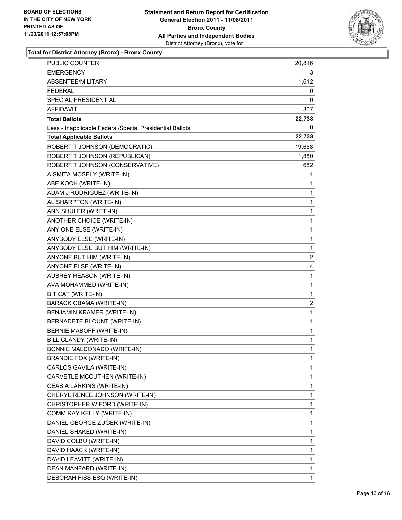

| <b>PUBLIC COUNTER</b>                                    | 20,816         |
|----------------------------------------------------------|----------------|
| <b>EMERGENCY</b>                                         | 3              |
| ABSENTEE/MILITARY                                        | 1,612          |
| <b>FEDERAL</b>                                           | 0              |
| SPECIAL PRESIDENTIAL                                     | 0              |
| AFFIDAVIT                                                | 307            |
| <b>Total Ballots</b>                                     | 22,738         |
| Less - Inapplicable Federal/Special Presidential Ballots | 0              |
| <b>Total Applicable Ballots</b>                          | 22,738         |
| ROBERT T JOHNSON (DEMOCRATIC)                            | 19,658         |
| ROBERT T JOHNSON (REPUBLICAN)                            | 1,880          |
| ROBERT T JOHNSON (CONSERVATIVE)                          | 682            |
| A SMITA MOSELY (WRITE-IN)                                | 1              |
| ABE KOCH (WRITE-IN)                                      | 1              |
| ADAM J RODRIGUEZ (WRITE-IN)                              | 1              |
| AL SHARPTON (WRITE-IN)                                   | 1              |
| ANN SHULER (WRITE-IN)                                    | 1              |
| ANOTHER CHOICE (WRITE-IN)                                | 1              |
| ANY ONE ELSE (WRITE-IN)                                  | 1              |
| ANYBODY ELSE (WRITE-IN)                                  | 1              |
| ANYBODY ELSE BUT HIM (WRITE-IN)                          | 1              |
| ANYONE BUT HIM (WRITE-IN)                                | 2              |
| ANYONE ELSE (WRITE-IN)                                   | 4              |
| AUBREY REASON (WRITE-IN)                                 | 1              |
| AVA MOHAMMED (WRITE-IN)                                  | 1              |
| B T CAT (WRITE-IN)                                       | 1              |
| BARACK OBAMA (WRITE-IN)                                  | $\overline{c}$ |
| BENJAMIN KRAMER (WRITE-IN)                               | 1              |
| BERNADETE BLOUNT (WRITE-IN)                              | 1              |
| <b>BERNIE MABOFF (WRITE-IN)</b>                          | 1              |
| BILL CLANDY (WRITE-IN)                                   | 1              |
| BONNIE MALDONADO (WRITE-IN)                              | 1              |
| <b>BRANDIE FOX (WRITE-IN)</b>                            | 1              |
| CARLOS GAVILA (WRITE-IN)                                 | 1              |
| CARVETLE MCCUTHEN (WRITE-IN)                             | 1              |
| CEASIA LARKINS (WRITE-IN)                                | 1              |
| CHERYL RENEE JOHNSON (WRITE-IN)                          | 1              |
| CHRISTOPHER W FORD (WRITE-IN)                            | 1              |
| COMM RAY KELLY (WRITE-IN)                                | 1              |
| DANIEL GEORGE ZUGER (WRITE-IN)                           | 1              |
| DANIEL SHAKED (WRITE-IN)                                 | 1              |
| DAVID COLBU (WRITE-IN)                                   | 1              |
| DAVID HAACK (WRITE-IN)                                   | 1              |
| DAVID LEAVITT (WRITE-IN)                                 | 1              |
| DEAN MANFARD (WRITE-IN)                                  | 1              |
| DEBORAH FISS ESQ (WRITE-IN)                              | 1              |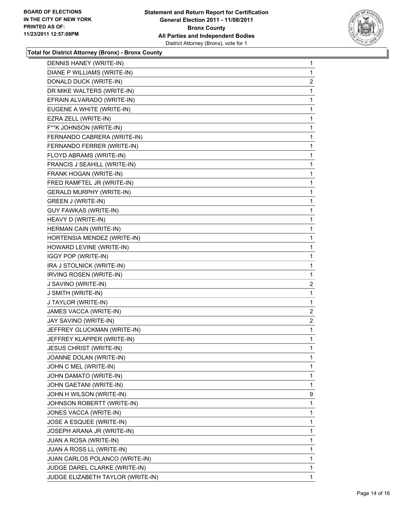

| DENNIS HANEY (WRITE-IN)           | 1              |
|-----------------------------------|----------------|
| DIANE P WILLIAMS (WRITE-IN)       | 1              |
| DONALD DUCK (WRITE-IN)            | $\overline{2}$ |
| DR MIKE WALTERS (WRITE-IN)        | 1              |
| EFRAIN ALVARADO (WRITE-IN)        | 1              |
| EUGENE A WHITE (WRITE-IN)         | 1              |
| EZRA ZELL (WRITE-IN)              | 1              |
| F**K JOHNSON (WRITE-IN)           | 1              |
| FERNANDO CABRERA (WRITE-IN)       | 1              |
| FERNANDO FERRER (WRITE-IN)        | 1              |
| FLOYD ABRAMS (WRITE-IN)           | 1              |
| FRANCIS J SEAHILL (WRITE-IN)      | 1              |
| FRANK HOGAN (WRITE-IN)            | 1              |
| FRED RAMFTEL JR (WRITE-IN)        | 1              |
| <b>GERALD MURPHY (WRITE-IN)</b>   | 1              |
| GREEN J (WRITE-IN)                | 1              |
| GUY FAWKAS (WRITE-IN)             | 1              |
| HEAVY D (WRITE-IN)                | 1              |
| HERMAN CAIN (WRITE-IN)            | 1              |
| HORTENSIA MENDEZ (WRITE-IN)       | 1              |
| HOWARD LEVINE (WRITE-IN)          | 1              |
| <b>IGGY POP (WRITE-IN)</b>        | 1              |
| IRA J STOLNICK (WRITE-IN)         | 1              |
| IRVING ROSEN (WRITE-IN)           | 1              |
| J SAVINO (WRITE-IN)               | $\mathbf{2}$   |
| J SMITH (WRITE-IN)                | 1              |
| J TAYLOR (WRITE-IN)               | 1              |
| JAMES VACCA (WRITE-IN)            | $\overline{2}$ |
| JAY SAVINO (WRITE-IN)             | $\overline{2}$ |
| JEFFREY GLUCKMAN (WRITE-IN)       | 1              |
| JEFFREY KLAPPER (WRITE-IN)        | 1              |
| JESUS CHRIST (WRITE-IN)           | 1              |
| JOANNE DOLAN (WRITE-IN)           | 1              |
| JOHN C MEL (WRITE-IN)             | 1              |
| JOHN DAMATO (WRITE-IN)            | 1              |
| JOHN GAETANI (WRITE-IN)           | 1              |
| JOHN H WILSON (WRITE-IN)          | 9              |
| JOHNSON ROBERTT (WRITE-IN)        | 1              |
| JONES VACCA (WRITE-IN)            | 1              |
| JOSE A ESQUEE (WRITE-IN)          | 1              |
| JOSEPH ARANA JR (WRITE-IN)        | 1              |
| JUAN A ROSA (WRITE-IN)            | 1              |
| JUAN A ROSS LL (WRITE-IN)         | 1              |
| JUAN CARLOS POLANCO (WRITE-IN)    | 1              |
| JUDGE DAREL CLARKE (WRITE-IN)     | 1              |
| JUDGE ELIZABETH TAYLOR (WRITE-IN) | 1              |
|                                   |                |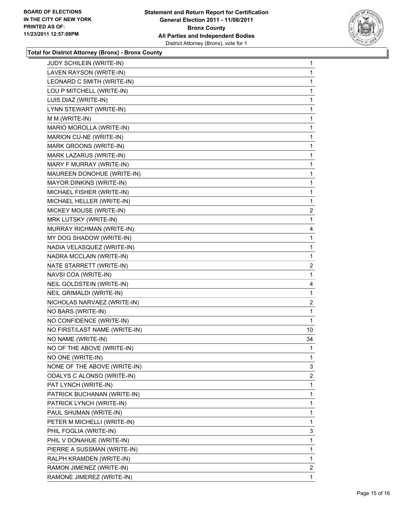

| JUDY SCHILEIN (WRITE-IN)      | 1              |
|-------------------------------|----------------|
| LAVEN RAYSON (WRITE-IN)       | 1              |
| LEONARD C SMITH (WRITE-IN)    | 1              |
| LOU P MITCHELL (WRITE-IN)     | 1              |
| LUIS DIAZ (WRITE-IN)          | 1              |
| LYNN STEWART (WRITE-IN)       | 1              |
| M M (WRITE-IN)                | 1              |
| MARIO MOROLLA (WRITE-IN)      | 1              |
| MARION CU-NE (WRITE-IN)       | 1              |
| MARK GROONS (WRITE-IN)        | 1              |
| MARK LAZARUS (WRITE-IN)       | 1              |
| MARY F MURRAY (WRITE-IN)      | 1              |
| MAUREEN DONOHUE (WRITE-IN)    | 1              |
| MAYOR DINKINS (WRITE-IN)      | 1              |
| MICHAEL FISHER (WRITE-IN)     | 1              |
| MICHAEL HELLER (WRITE-IN)     | 1              |
| MICKEY MOUSE (WRITE-IN)       | $\overline{2}$ |
| MRK LUTSKY (WRITE-IN)         | 1              |
| MURRAY RICHMAN (WRITE-IN)     | 4              |
| MY DOG SHADOW (WRITE-IN)      | 1              |
| NADIA VELASQUEZ (WRITE-IN)    | 1              |
| NADRA MCCLAIN (WRITE-IN)      | 1              |
| NATE STARRETT (WRITE-IN)      | $\overline{2}$ |
| NAVSI COA (WRITE-IN)          | 1              |
| NEIL GOLDSTEIN (WRITE-IN)     | 4              |
| NEIL GRIMALDI (WRITE-IN)      | 1              |
| NICHOLAS NARVAEZ (WRITE-IN)   | $\overline{2}$ |
| NO BARS (WRITE-IN)            | 1              |
| NO CONFIDENCE (WRITE-IN)      | 1              |
| NO FIRST/LAST NAME (WRITE-IN) | 10             |
| NO NAME (WRITE-IN)            | 34             |
| NO OF THE ABOVE (WRITE-IN)    | 1              |
| NO ONE (WRITE-IN)             | 1              |
| NONE OF THE ABOVE (WRITE-IN)  | 3              |
| ODALYS C ALONSO (WRITE-IN)    | $\overline{2}$ |
| PAT LYNCH (WRITE-IN)          | 1              |
| PATRICK BUCHANAN (WRITE-IN)   | 1              |
| PATRICK LYNCH (WRITE-IN)      | 1              |
| PAUL SHUMAN (WRITE-IN)        | 1              |
| PETER M MICHELLI (WRITE-IN)   | 1              |
| PHIL FOGLIA (WRITE-IN)        | 3              |
| PHIL V DONAHUE (WRITE-IN)     | 1              |
| PIERRE A SUSSMAN (WRITE-IN)   | 1              |
| RALPH KRAMDEN (WRITE-IN)      | 1              |
| RAMON JIMENEZ (WRITE-IN)      | $\overline{2}$ |
| RAMONE JIMEREZ (WRITE-IN)     | 1              |